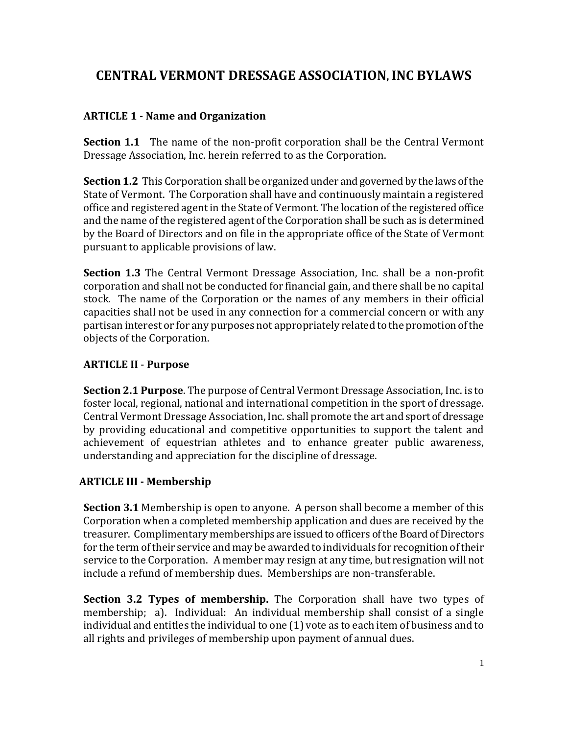# **CENTRAL VERMONT DRESSAGE ASSOCIATION, INC BYLAWS**

### **ARTICLE 1 - Name and Organization**

**Section 1.1** The name of the non-profit corporation shall be the Central Vermont Dressage Association, Inc. herein referred to as the Corporation.

**Section 1.2** This Corporation shall be organized under and governed by the laws of the State of Vermont. The Corporation shall have and continuously maintain a registered office and registered agent in the State of Vermont. The location of the registered office and the name of the registered agent of the Corporation shall be such as is determined by the Board of Directors and on file in the appropriate office of the State of Vermont pursuant to applicable provisions of law.

**Section 1.3** The Central Vermont Dressage Association, Inc. shall be a non-profit corporation and shall not be conducted for financial gain, and there shall be no capital stock. The name of the Corporation or the names of any members in their official capacities shall not be used in any connection for a commercial concern or with any partisan interest or for any purposes not appropriately related to the promotion of the objects of the Corporation.

# **ARTICLE II** - **Purpose**

**Section 2.1 Purpose**. The purpose of Central Vermont Dressage Association, Inc. is to foster local, regional, national and international competition in the sport of dressage. Central Vermont Dressage Association, Inc. shall promote the art and sport of dressage by providing educational and competitive opportunities to support the talent and achievement of equestrian athletes and to enhance greater public awareness, understanding and appreciation for the discipline of dressage.

#### **ARTICLE III - Membership**

**Section 3.1** Membership is open to anyone. A person shall become a member of this Corporation when a completed membership application and dues are received by the treasurer. Complimentary memberships are issued to officers of the Board of Directors for the term of their service and may be awarded to individuals for recognition of their service to the Corporation. A member may resign at any time, but resignation will not include a refund of membership dues. Memberships are non-transferable.

**Section 3.2 Types of membership.** The Corporation shall have two types of membership; a). Individual: An individual membership shall consist of a single individual and entitles the individual to one (1) vote as to each item of business and to all rights and privileges of membership upon payment of annual dues.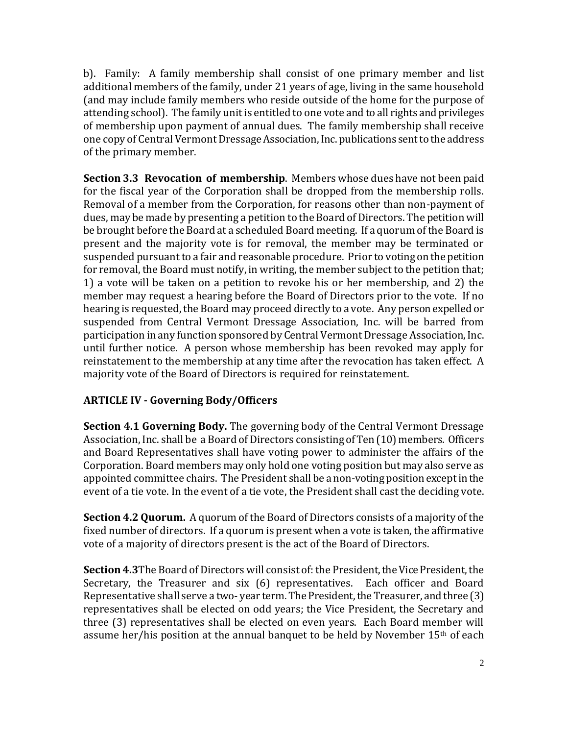b). Family: A family membership shall consist of one primary member and list additional members of the family, under 21 years of age, living in the same household (and may include family members who reside outside of the home for the purpose of attending school). The family unit is entitled to one vote and to all rights and privileges of membership upon payment of annual dues. The family membership shall receive one copy of Central Vermont Dressage Association, Inc. publications sent to the address of the primary member.

**Section 3.3 Revocation of membership**. Members whose dues have not been paid for the fiscal year of the Corporation shall be dropped from the membership rolls. Removal of a member from the Corporation, for reasons other than non-payment of dues, may be made by presenting a petition to the Board of Directors. The petition will be brought before the Board at a scheduled Board meeting. If a quorum of the Board is present and the majority vote is for removal, the member may be terminated or suspended pursuant to a fair and reasonable procedure. Prior to voting on the petition for removal, the Board must notify, in writing, the member subject to the petition that; 1) a vote will be taken on a petition to revoke his or her membership, and 2) the member may request a hearing before the Board of Directors prior to the vote. If no hearing is requested, the Board may proceed directly to a vote. Any person expelled or suspended from Central Vermont Dressage Association, Inc. will be barred from participation in any function sponsored by Central Vermont Dressage Association, Inc. until further notice. A person whose membership has been revoked may apply for reinstatement to the membership at any time after the revocation has taken effect. A majority vote of the Board of Directors is required for reinstatement.

#### **ARTICLE IV - Governing Body/Officers**

**Section 4.1 Governing Body.** The governing body of the Central Vermont Dressage Association, Inc. shall be a Board of Directors consisting of Ten (10) members. Officers and Board Representatives shall have voting power to administer the affairs of the Corporation. Board members may only hold one voting position but may also serve as appointed committee chairs. The President shall be a non-voting position except in the event of a tie vote. In the event of a tie vote, the President shall cast the deciding vote.

**Section 4.2 Quorum.** A quorum of the Board of Directors consists of a majority of the fixed number of directors. If a quorum is present when a vote is taken, the affirmative vote of a majority of directors present is the act of the Board of Directors.

**Section 4.3**The Board of Directors will consist of: the President, the Vice President, the Secretary, the Treasurer and six (6) representatives. Each officer and Board Representative shall serve a two- year term. The President, the Treasurer, and three (3) representatives shall be elected on odd years; the Vice President, the Secretary and three (3) representatives shall be elected on even years. Each Board member will assume her/his position at the annual banquet to be held by November 15<sup>th</sup> of each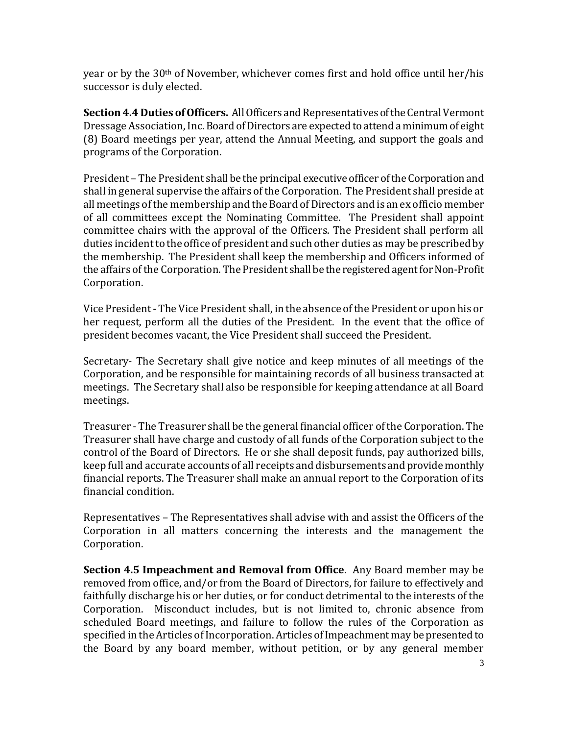year or by the  $30<sup>th</sup>$  of November, whichever comes first and hold office until her/his successor is duly elected.

**Section 4.4 Duties of Officers.** All Officers and Representatives of the Central Vermont Dressage Association, Inc. Board of Directors are expected to attend a minimum of eight (8) Board meetings per year, attend the Annual Meeting, and support the goals and programs of the Corporation.

President – The President shall be the principal executive officer of the Corporation and shall in general supervise the affairs of the Corporation. The President shall preside at all meetings of the membership and the Board of Directors and is an ex officio member of all committees except the Nominating Committee. The President shall appoint committee chairs with the approval of the Officers. The President shall perform all duties incident to the office of president and such other duties as may be prescribed by the membership. The President shall keep the membership and Officers informed of the affairs of the Corporation. The President shall be the registered agent for Non-Profit Corporation.

Vice President - The Vice President shall, in the absence of the President or upon his or her request, perform all the duties of the President. In the event that the office of president becomes vacant, the Vice President shall succeed the President.

Secretary- The Secretary shall give notice and keep minutes of all meetings of the Corporation, and be responsible for maintaining records of all business transacted at meetings. The Secretary shall also be responsible for keeping attendance at all Board meetings.

Treasurer - The Treasurer shall be the general financial officer of the Corporation. The Treasurer shall have charge and custody of all funds of the Corporation subject to the control of the Board of Directors. He or she shall deposit funds, pay authorized bills, keep full and accurate accounts of all receipts and disbursements and provide monthly financial reports. The Treasurer shall make an annual report to the Corporation of its financial condition.

Representatives – The Representatives shall advise with and assist the Officers of the Corporation in all matters concerning the interests and the management the Corporation.

**Section 4.5 Impeachment and Removal from Office**. Any Board member may be removed from office, and/or from the Board of Directors, for failure to effectively and faithfully discharge his or her duties, or for conduct detrimental to the interests of the Corporation. Misconduct includes, but is not limited to, chronic absence from scheduled Board meetings, and failure to follow the rules of the Corporation as specified in the Articles of Incorporation. Articles of Impeachment may be presented to the Board by any board member, without petition, or by any general member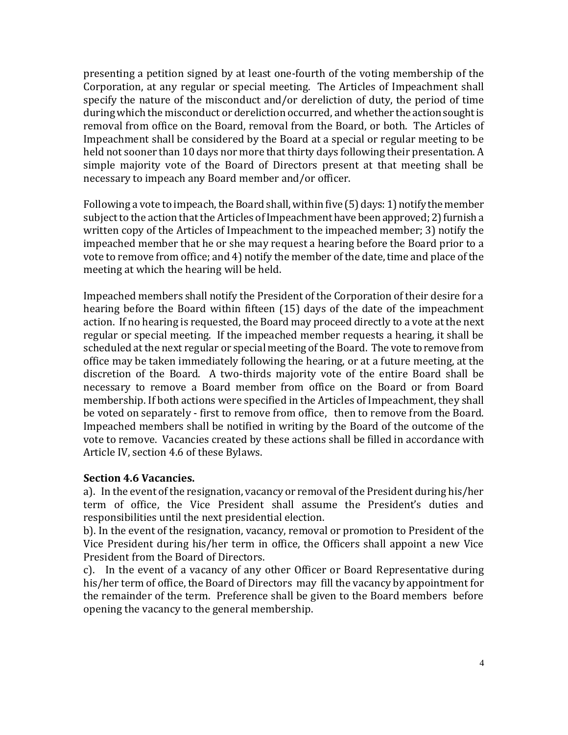presenting a petition signed by at least one-fourth of the voting membership of the Corporation, at any regular or special meeting. The Articles of Impeachment shall specify the nature of the misconduct and/or dereliction of duty, the period of time during which the misconduct or dereliction occurred, and whether the action sought is removal from office on the Board, removal from the Board, or both. The Articles of Impeachment shall be considered by the Board at a special or regular meeting to be held not sooner than 10 days nor more that thirty days following their presentation. A simple majority vote of the Board of Directors present at that meeting shall be necessary to impeach any Board member and/or officer.

Following a vote to impeach, the Board shall, within five (5) days: 1) notify the member subject to the action that the Articles of Impeachment have been approved; 2) furnish a written copy of the Articles of Impeachment to the impeached member; 3) notify the impeached member that he or she may request a hearing before the Board prior to a vote to remove from office; and 4) notify the member of the date, time and place of the meeting at which the hearing will be held.

Impeached members shall notify the President of the Corporation of their desire for a hearing before the Board within fifteen (15) days of the date of the impeachment action. If no hearing is requested, the Board may proceed directly to a vote at the next regular or special meeting. If the impeached member requests a hearing, it shall be scheduled at the next regular or special meeting of the Board. The vote to remove from office may be taken immediately following the hearing, or at a future meeting, at the discretion of the Board. A two-thirds majority vote of the entire Board shall be necessary to remove a Board member from office on the Board or from Board membership. If both actions were specified in the Articles of Impeachment, they shall be voted on separately - first to remove from office, then to remove from the Board. Impeached members shall be notified in writing by the Board of the outcome of the vote to remove. Vacancies created by these actions shall be filled in accordance with Article IV, section 4.6 of these Bylaws.

#### **Section 4.6 Vacancies.**

a). In the event of the resignation, vacancy or removal of the President during his/her term of office, the Vice President shall assume the President's duties and responsibilities until the next presidential election.

b). In the event of the resignation, vacancy, removal or promotion to President of the Vice President during his/her term in office, the Officers shall appoint a new Vice President from the Board of Directors.

c). In the event of a vacancy of any other Officer or Board Representative during his/her term of office, the Board of Directors may fill the vacancy by appointment for the remainder of the term. Preference shall be given to the Board members before opening the vacancy to the general membership.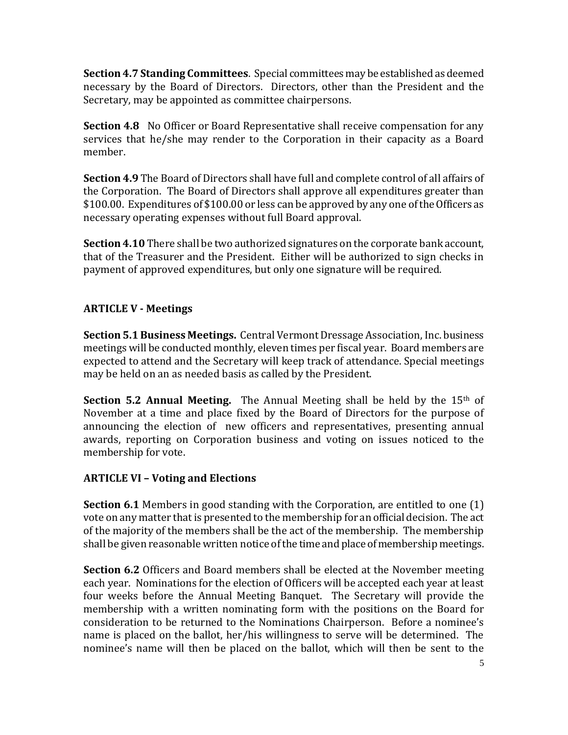**Section 4.7 Standing Committees**. Special committees may be established as deemed necessary by the Board of Directors. Directors, other than the President and the Secretary, may be appointed as committee chairpersons.

**Section 4.8** No Officer or Board Representative shall receive compensation for any services that he/she may render to the Corporation in their capacity as a Board member.

**Section 4.9** The Board of Directors shall have full and complete control of all affairs of the Corporation. The Board of Directors shall approve all expenditures greater than \$100.00. Expenditures of \$100.00 or less can be approved by any one of the Officers as necessary operating expenses without full Board approval.

**Section 4.10** There shall be two authorized signatures on the corporate bank account, that of the Treasurer and the President. Either will be authorized to sign checks in payment of approved expenditures, but only one signature will be required.

# **ARTICLE V - Meetings**

**Section 5.1 Business Meetings.** Central Vermont Dressage Association, Inc. business meetings will be conducted monthly, eleven times per fiscal year. Board members are expected to attend and the Secretary will keep track of attendance. Special meetings may be held on an as needed basis as called by the President.

**Section 5.2 Annual Meeting.** The Annual Meeting shall be held by the 15<sup>th</sup> of November at a time and place fixed by the Board of Directors for the purpose of announcing the election of new officers and representatives, presenting annual awards, reporting on Corporation business and voting on issues noticed to the membership for vote.

#### **ARTICLE VI – Voting and Elections**

**Section 6.1** Members in good standing with the Corporation, are entitled to one (1) vote on any matter that is presented to the membership for an official decision. The act of the majority of the members shall be the act of the membership. The membership shall be given reasonable written notice of the time and place of membership meetings.

**Section 6.2** Officers and Board members shall be elected at the November meeting each year. Nominations for the election of Officers will be accepted each year at least four weeks before the Annual Meeting Banquet. The Secretary will provide the membership with a written nominating form with the positions on the Board for consideration to be returned to the Nominations Chairperson. Before a nominee's name is placed on the ballot, her/his willingness to serve will be determined. The nominee's name will then be placed on the ballot, which will then be sent to the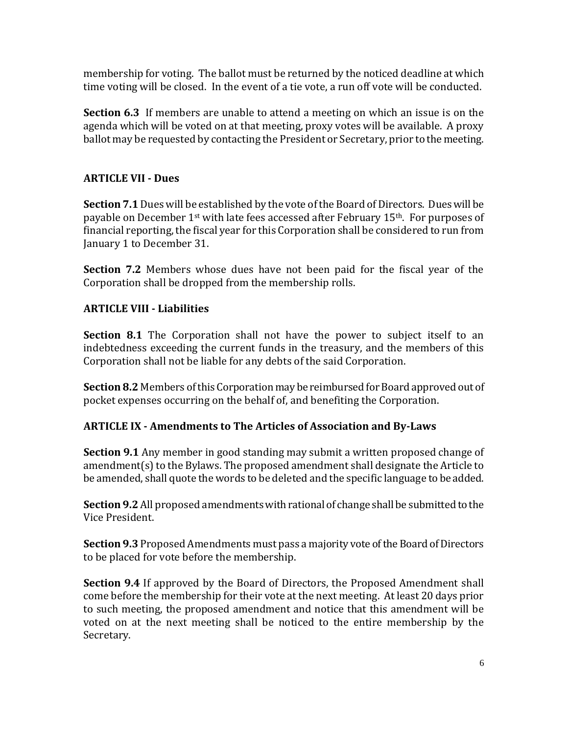membership for voting. The ballot must be returned by the noticed deadline at which time voting will be closed. In the event of a tie vote, a run off vote will be conducted.

**Section 6.3** If members are unable to attend a meeting on which an issue is on the agenda which will be voted on at that meeting, proxy votes will be available. A proxy ballot may be requested by contacting the President or Secretary, prior to the meeting.

### **ARTICLE VII - Dues**

**Section 7.1**Dues will be established by the vote of the Board of Directors. Dues will be payable on December  $1^{st}$  with late fees accessed after February  $15^{th}$ . For purposes of financial reporting, the fiscal year for this Corporation shall be considered to run from January 1 to December 31.

**Section 7.2** Members whose dues have not been paid for the fiscal year of the Corporation shall be dropped from the membership rolls.

# **ARTICLE VIII - Liabilities**

**Section 8.1** The Corporation shall not have the power to subject itself to an indebtedness exceeding the current funds in the treasury, and the members of this Corporation shall not be liable for any debts of the said Corporation.

**Section 8.2** Members of this Corporation may be reimbursed for Board approved out of pocket expenses occurring on the behalf of, and benefiting the Corporation.

#### **ARTICLE IX - Amendments to The Articles of Association and By-Laws**

**Section 9.1** Any member in good standing may submit a written proposed change of amendment(s) to the Bylaws. The proposed amendment shall designate the Article to be amended, shall quote the words to be deleted and the specific language to be added.

**Section 9.2** All proposed amendments with rational of change shall be submitted to the Vice President.

**Section 9.3** Proposed Amendments must pass a majority vote of the Board of Directors to be placed for vote before the membership.

**Section 9.4** If approved by the Board of Directors, the Proposed Amendment shall come before the membership for their vote at the next meeting. At least 20 days prior to such meeting, the proposed amendment and notice that this amendment will be voted on at the next meeting shall be noticed to the entire membership by the Secretary.